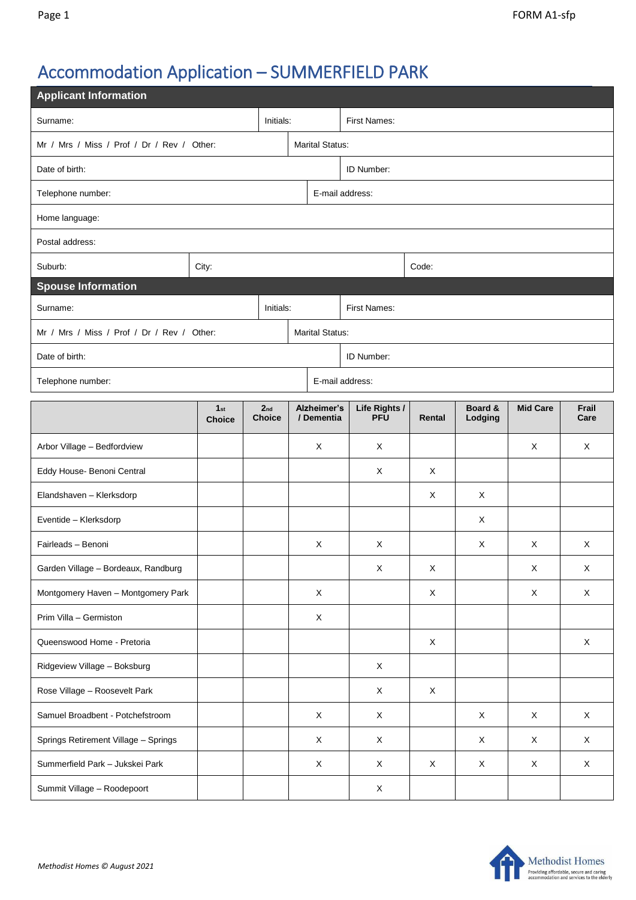# Accommodation Application – SUMMERFIELD PARK

| <b>Applicant Information</b>               |                                  |                                  |  |                           |                             |             |                    |                 |               |  |  |
|--------------------------------------------|----------------------------------|----------------------------------|--|---------------------------|-----------------------------|-------------|--------------------|-----------------|---------------|--|--|
| Initials:<br>Surname:                      |                                  |                                  |  | First Names:              |                             |             |                    |                 |               |  |  |
| Mr / Mrs / Miss / Prof / Dr / Rev / Other: |                                  |                                  |  | <b>Marital Status:</b>    |                             |             |                    |                 |               |  |  |
| Date of birth:                             |                                  |                                  |  | ID Number:                |                             |             |                    |                 |               |  |  |
| Telephone number:                          |                                  | E-mail address:                  |  |                           |                             |             |                    |                 |               |  |  |
| Home language:                             |                                  |                                  |  |                           |                             |             |                    |                 |               |  |  |
| Postal address:                            |                                  |                                  |  |                           |                             |             |                    |                 |               |  |  |
| Suburb:                                    | City:                            |                                  |  |                           | Code:                       |             |                    |                 |               |  |  |
| <b>Spouse Information</b>                  |                                  |                                  |  |                           |                             |             |                    |                 |               |  |  |
| Initials:<br>Surname:                      |                                  |                                  |  | First Names:              |                             |             |                    |                 |               |  |  |
| Mr / Mrs / Miss / Prof / Dr / Rev / Other: |                                  |                                  |  | <b>Marital Status:</b>    |                             |             |                    |                 |               |  |  |
| Date of birth:                             |                                  |                                  |  | ID Number:                |                             |             |                    |                 |               |  |  |
| Telephone number:                          |                                  | E-mail address:                  |  |                           |                             |             |                    |                 |               |  |  |
|                                            | 1 <sub>st</sub><br><b>Choice</b> | 2 <sub>nd</sub><br><b>Choice</b> |  | Alzheimer's<br>/ Dementia | Life Rights /<br><b>PFU</b> | Rental      | Board &<br>Lodging | <b>Mid Care</b> | Frail<br>Care |  |  |
| Arbor Village - Bedfordview                |                                  |                                  |  | X                         | X                           |             |                    | X               | X             |  |  |
| Eddy House- Benoni Central                 |                                  |                                  |  |                           | X                           | X           |                    |                 |               |  |  |
| Elandshaven - Klerksdorp                   |                                  |                                  |  |                           |                             | X           | X                  |                 |               |  |  |
| Eventide - Klerksdorp                      |                                  |                                  |  |                           |                             |             | X                  |                 |               |  |  |
| Fairleads - Benoni                         |                                  |                                  |  | X                         | X                           |             | X                  | X               | X             |  |  |
| Garden Village - Bordeaux, Randburg        |                                  |                                  |  |                           | X                           | $\mathsf X$ |                    | Χ               | X             |  |  |
| Montgomery Haven - Montgomery Park         |                                  |                                  |  | X                         |                             | X           |                    | X               | X             |  |  |
| Prim Villa - Germiston                     |                                  |                                  |  | X                         |                             |             |                    |                 |               |  |  |
| Queenswood Home - Pretoria                 |                                  |                                  |  |                           |                             | $\mathsf X$ |                    |                 | $\mathsf X$   |  |  |
| Ridgeview Village - Boksburg               |                                  |                                  |  |                           | X                           |             |                    |                 |               |  |  |
| Rose Village - Roosevelt Park              |                                  |                                  |  |                           | X                           | $\mathsf X$ |                    |                 |               |  |  |
| Samuel Broadbent - Potchefstroom           |                                  |                                  |  | $\mathsf X$               | $\mathsf X$                 |             | X                  | X               | $\mathsf X$   |  |  |
| Springs Retirement Village - Springs       |                                  |                                  |  | X                         | X                           |             | X                  | X               | X             |  |  |
| Summerfield Park - Jukskei Park            |                                  |                                  |  | $\mathsf{X}$              | X                           | $\mathsf X$ | X                  | X               | $\mathsf X$   |  |  |
| Summit Village - Roodepoort                |                                  |                                  |  |                           | X                           |             |                    |                 |               |  |  |

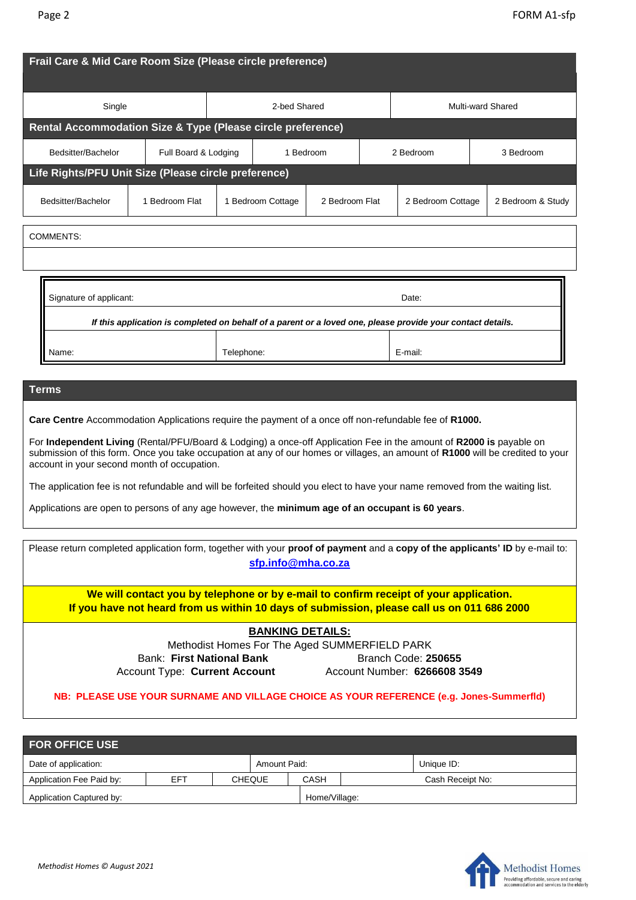|                                                                                                                                                                                                                                                                                                                                                                                                                                                                                                                                                                                                                                                    |                      |                                                                          | 2-bed Shared      |                |                   |                   |           |                   |  |
|----------------------------------------------------------------------------------------------------------------------------------------------------------------------------------------------------------------------------------------------------------------------------------------------------------------------------------------------------------------------------------------------------------------------------------------------------------------------------------------------------------------------------------------------------------------------------------------------------------------------------------------------------|----------------------|--------------------------------------------------------------------------|-------------------|----------------|-------------------|-------------------|-----------|-------------------|--|
| Single                                                                                                                                                                                                                                                                                                                                                                                                                                                                                                                                                                                                                                             |                      |                                                                          |                   |                | Multi-ward Shared |                   |           |                   |  |
| Bedsitter/Bachelor                                                                                                                                                                                                                                                                                                                                                                                                                                                                                                                                                                                                                                 | Full Board & Lodging | Rental Accommodation Size & Type (Please circle preference)<br>1 Bedroom |                   |                |                   | 2 Bedroom         | 3 Bedroom |                   |  |
| Life Rights/PFU Unit Size (Please circle preference)<br>Bedsitter/Bachelor                                                                                                                                                                                                                                                                                                                                                                                                                                                                                                                                                                         | 1 Bedroom Flat       |                                                                          | 1 Bedroom Cottage | 2 Bedroom Flat |                   | 2 Bedroom Cottage |           | 2 Bedroom & Study |  |
| <b>COMMENTS:</b>                                                                                                                                                                                                                                                                                                                                                                                                                                                                                                                                                                                                                                   |                      |                                                                          |                   |                |                   |                   |           |                   |  |
| Signature of applicant:<br>Date:<br>If this application is completed on behalf of a parent or a loved one, please provide your contact details.<br>Telephone:<br>E-mail:<br>Name:                                                                                                                                                                                                                                                                                                                                                                                                                                                                  |                      |                                                                          |                   |                |                   |                   |           |                   |  |
|                                                                                                                                                                                                                                                                                                                                                                                                                                                                                                                                                                                                                                                    |                      |                                                                          |                   |                |                   |                   |           |                   |  |
| <b>Terms</b>                                                                                                                                                                                                                                                                                                                                                                                                                                                                                                                                                                                                                                       |                      |                                                                          |                   |                |                   |                   |           |                   |  |
| Care Centre Accommodation Applications require the payment of a once off non-refundable fee of R1000.<br>For Independent Living (Rental/PFU/Board & Lodging) a once-off Application Fee in the amount of R2000 is payable on<br>submission of this form. Once you take occupation at any of our homes or villages, an amount of R1000 will be credited to your<br>account in your second month of occupation.<br>The application fee is not refundable and will be forfeited should you elect to have your name removed from the waiting list.<br>Applications are open to persons of any age however, the minimum age of an occupant is 60 years. |                      |                                                                          |                   |                |                   |                   |           |                   |  |

**If you have not heard from us within 10 days of submission, please call us on 011 686 2000**

# **BANKING DETAILS:**

Methodist Homes For The Aged SUMMERFIELD PARK Bank: First National Bank **Branch Code: 250655** Account Type: **Current Account** Account Number: **6266608 3549**

#### **NB: PLEASE USE YOUR SURNAME AND VILLAGE CHOICE AS YOUR REFERENCE (e.g. Jones-Summerfld)**

| <b>FOR OFFICE USE</b>    |     |  |               |               |                  |            |  |  |  |
|--------------------------|-----|--|---------------|---------------|------------------|------------|--|--|--|
| Date of application:     |     |  | Amount Paid:  |               |                  | Unique ID: |  |  |  |
| Application Fee Paid by: | EFT |  | <b>CHEQUE</b> | CASH          | Cash Receipt No: |            |  |  |  |
| Application Captured by: |     |  |               | Home/Village: |                  |            |  |  |  |

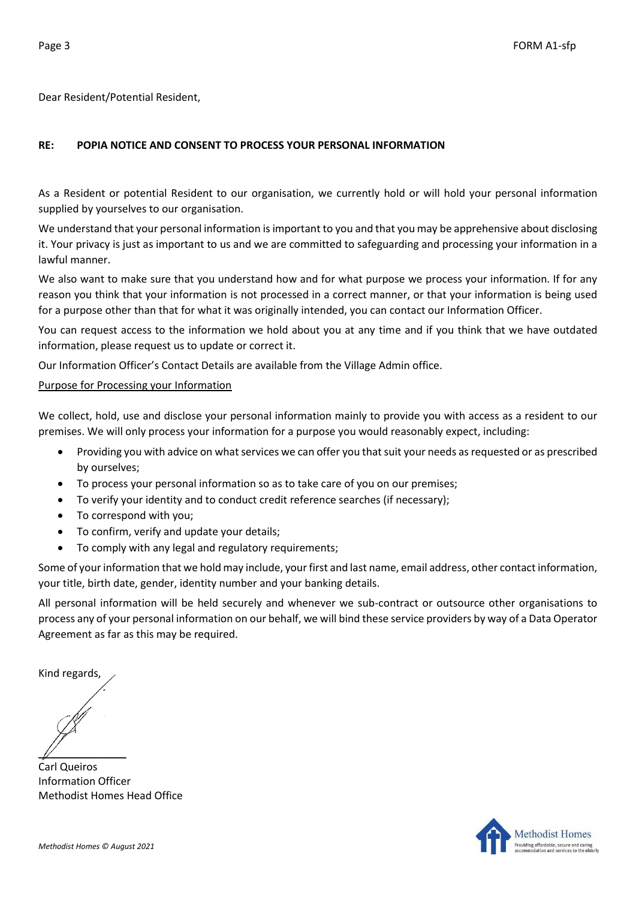Dear Resident/Potential Resident,

# **RE: POPIA NOTICE AND CONSENT TO PROCESS YOUR PERSONAL INFORMATION**

As a Resident or potential Resident to our organisation, we currently hold or will hold your personal information supplied by yourselves to our organisation.

We understand that your personal information is important to you and that you may be apprehensive about disclosing it. Your privacy is just as important to us and we are committed to safeguarding and processing your information in a lawful manner.

We also want to make sure that you understand how and for what purpose we process your information. If for any reason you think that your information is not processed in a correct manner, or that your information is being used for a purpose other than that for what it was originally intended, you can contact our Information Officer.

You can request access to the information we hold about you at any time and if you think that we have outdated information, please request us to update or correct it.

Our Information Officer's Contact Details are available from the Village Admin office.

#### Purpose for Processing your Information

We collect, hold, use and disclose your personal information mainly to provide you with access as a resident to our premises. We will only process your information for a purpose you would reasonably expect, including:

- Providing you with advice on what services we can offer you that suit your needs as requested or as prescribed by ourselves;
- To process your personal information so as to take care of you on our premises;
- To verify your identity and to conduct credit reference searches (if necessary);
- To correspond with you;
- To confirm, verify and update your details;
- To comply with any legal and regulatory requirements;

Some of your information that we hold may include, your first and last name, email address, other contact information, your title, birth date, gender, identity number and your banking details.

All personal information will be held securely and whenever we sub-contract or outsource other organisations to process any of your personal information on our behalf, we will bind these service providers by way of a Data Operator Agreement as far as this may be required.

Kind regards,

 $\mathbb{Z}$ 

Carl Queiros Information Officer Methodist Homes Head Office